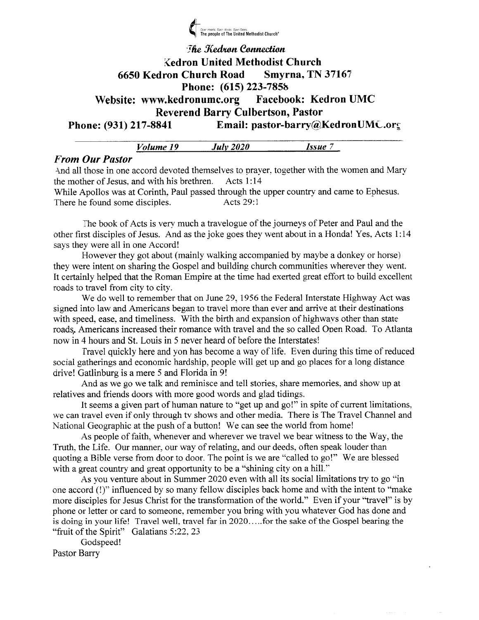

# **The Kedron Connection** Kedron United Methodist Church <sup>6650</sup>Kedron Church Road Smyrna. TN 3716? Phone: (615) 223-785b Website: www.kedronumc.org Facebook: Kedron UMC Reverend Barry Culbertson, Pastor Phone: (931) 217-8841 Email: pastor-barry@KedronUMC.org

|                                     | $Vol$ ume 19 | -------<br>-----<br>-------<br>2020<br>$J$ ul $\nu$ | Issue |  |
|-------------------------------------|--------------|-----------------------------------------------------|-------|--|
| $_{max}$ $\Omega_{nm}$ $\Omega_{m}$ |              |                                                     |       |  |

# From Our Pastor

And all those in one accord devoted themselves to prayer, together with the women and Mary the mother of Jesus, and with his brethren. Acts 1:14 the mother of Jesus, and with his brethren. While Apollos was at Corinth, Paul passed through the upper country and came to Ephesus.<br>There he found some disciples. Acts 29:1 There he found some disciples.

The book of Acts is very much a travelogue of the journeys of Peter and Paul and the other first disciples of Jesus. And as the joke goes they went about in a Honda! Yes. Acts 1 :14 says they were all in one Accord!

However they got about (mainly walking accompanied by maybe a donkey or horse) they were intent on sharing the Gospel and building church communities wherever they went. It certainly helped that the Roman Empire at the time had exerted great effort to build excelleni roads to travel from city to city.

We do well to remember that on June 29, 1956 the Federal Interstate Highway Act was signed into law and Americans began to travel more than ever and arrive at their destinations with speed, ease, and timeliness. With the birth and expansion of highways other than state roads, Americans increased their romance with travel and the so called Ooen Road. To Atlanta now in 4 hours and St. Louis in 5 never heard of before the Interstatesi

fravel quickly here and yon has become a way of life. Even during this time of reduced sociai gatherings and economic hardship, people will get up and go places for a long distance drive! Gatlinburg is a mere 5 and Florida in 9!

And as we go we talk and reminisce and tell stories, share memories, and show up at relatives and friends doors with more good words and glad tidings.

It seems a given part of human nature to "get up and go!" in spite of current limitations. we can travel even if only through tv shows and other media. There is The Travel Channel and National Geographic at the push of a button! We can see the worid from home!

As people of faith, whenever and wherever we travel we bear witness to the Way, the Truth. the Life. Our manner, our way of relating, and our deeds, often speak louder than quoting a Bible verse from door to door. The point is we are "called to go!" We are blessed with a great country and great opportunity to be a "shining city on a hill."

As you venture about in Summer 2020 even with all its social limitations try to go "in one accord (!)" influenced by so many fellow disciples back home and with the intent to "make more disciples for Jesus Christ for the transformation of the world." Even if your "travel" is by phone or letter or card to someone, remember you bring with you whatever God has done and is doing in your life! Travel well, travel far in 2020.....for the sake of the Gospel bearing the "fruit of the Spirit" Galatians  $5:22$ ,  $23$ 

Godspeed! Pastor Barry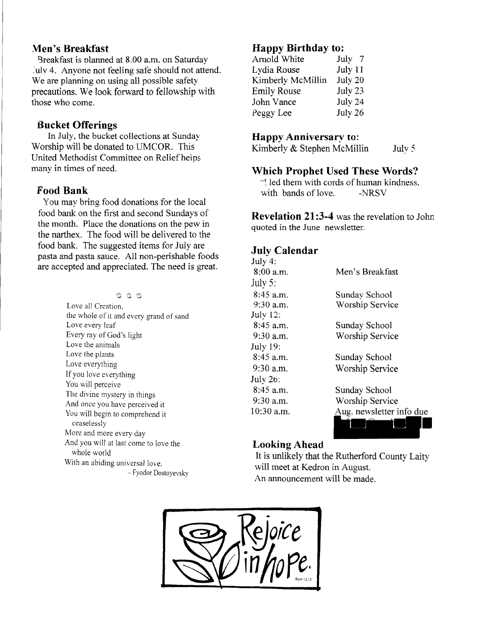## Men's Breakfast

Breakfast is olanned at 8.00 a.m. on Saturday July 4. Anyone not feeling safe should not attend. We are planning on using all possible safety precautions. We look forward to fellowship with those who come.

## Bucket Offerings

In July, the bucket collections at Sunday Worship will be donared to UMCOR. This United Methodist Committee on Relief heips many in times of need.

## Food Bank

You may bring food donations for the local food bank on the first and second Sundays of the month. Place the donations on the pew in the narthex. The food will be delivered to the food bank. The suggested items for July are pasta and pasta sauce. A1l non-perishable foods are accepted and appreciated. The need is great.

> eee Love all Creation, the whole of it and everv erand of sand Love every leaf Every ray of God's light Love the animals Love the plants Love everything If you love everything You will perceive The divine mystery in things And once you have perceived it You will begin to comprehend it ceaselessly More and more every day And you will at last come to love the whole world With an abiding universal love. - Fyodor Dostoyevsky

# Happy Birthday to;

| Arnold White       | July 7  |
|--------------------|---------|
| Lydia Rouse        | July 11 |
| Kimberly McMillin  | July 20 |
| <b>Emily Rouse</b> | July 23 |
| John Vance         | July 24 |
| Peggy Lee          | July 26 |
|                    |         |

#### Happy Anniversary to:

Kimberly & Stephen McMillin July 5

#### Which Prophet Used These Words?

''i led them with cords of human kindness. with bands of love. -NRSV

Revelation 21:3-4 was the revelation to John quoted in the June newsletter.

# July Calendar

| July 4:         |                          |
|-----------------|--------------------------|
| 8:00 a.m.       | Men's Breakfast          |
| July 5:         |                          |
| $8:45$ a.m.     | Sundav School            |
| $9:30$ a.m.     | Worship Service          |
| <b>July 12:</b> |                          |
| $8:45$ a.m.     | Sunday School            |
| $9:30$ a.m.     | Worship Service          |
| July 19:        |                          |
| 8:45 a.m.       | Sunday School            |
| $9:30$ a.m.     | Worship Service          |
| July 26:        |                          |
| 8:45 a.m.       | Sunday School            |
| $9:30$ a.m.     | Worship Service          |
| 10:30 a.m.      | Aug. newsletter info due |
|                 |                          |
|                 |                          |

# Looking Ahead

It is unlikely that the Rutherford County Laity will meet at Kedron in August. An announcement will be made.